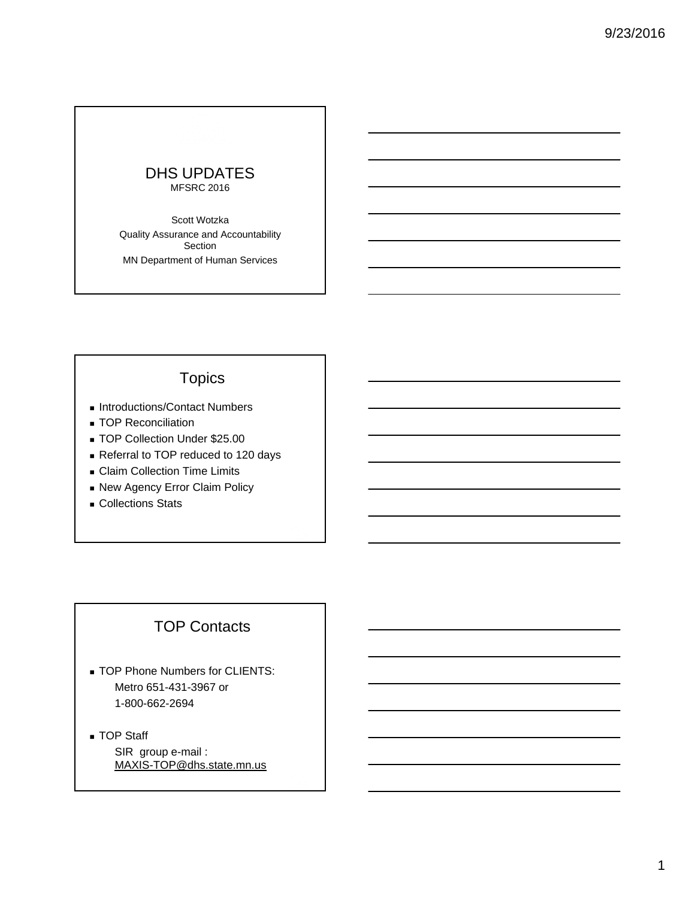#### DHS UPDATES MFSRC 2016

Scott Wotzka Quality Assurance and Accountability Section MN Department of Human Services

# **Topics**

- Introductions/Contact Numbers
- **TOP Reconciliation**
- TOP Collection Under \$25.00
- Referral to TOP reduced to 120 days
- **Claim Collection Time Limits**
- **New Agency Error Claim Policy**
- **Collections Stats**

#### TOP Contacts

- **TOP Phone Numbers for CLIENTS:** Metro 651-431-3967 or 1-800-662-2694
- **TOP Staff** SIR group e-mail : MAXIS-TOP@dhs.state.mn.us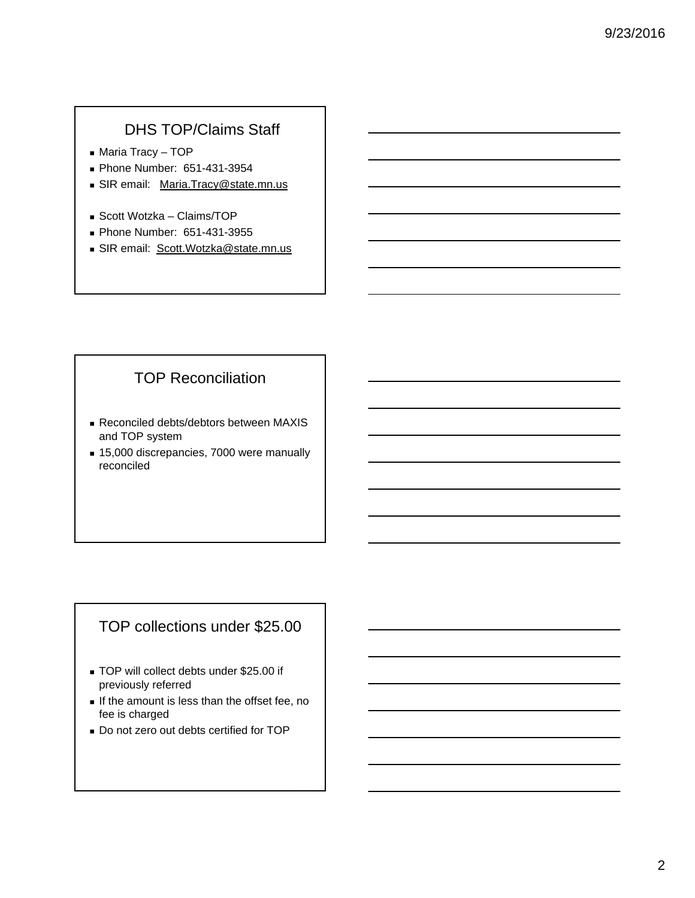# DHS TOP/Claims Staff

- Maria Tracy TOP
- Phone Number: 651-431-3954
- SIR email: Maria.Tracy@state.mn.us
- Scott Wotzka Claims/TOP
- Phone Number: 651-431-3955
- SIR email: Scott. Wotzka@state.mn.us

# TOP Reconciliation

- Reconciled debts/debtors between MAXIS and TOP system
- 15,000 discrepancies, 7000 were manually reconciled

# TOP collections under \$25.00

- TOP will collect debts under \$25.00 if previously referred
- $\blacksquare$  If the amount is less than the offset fee, no fee is charged
- Do not zero out debts certified for TOP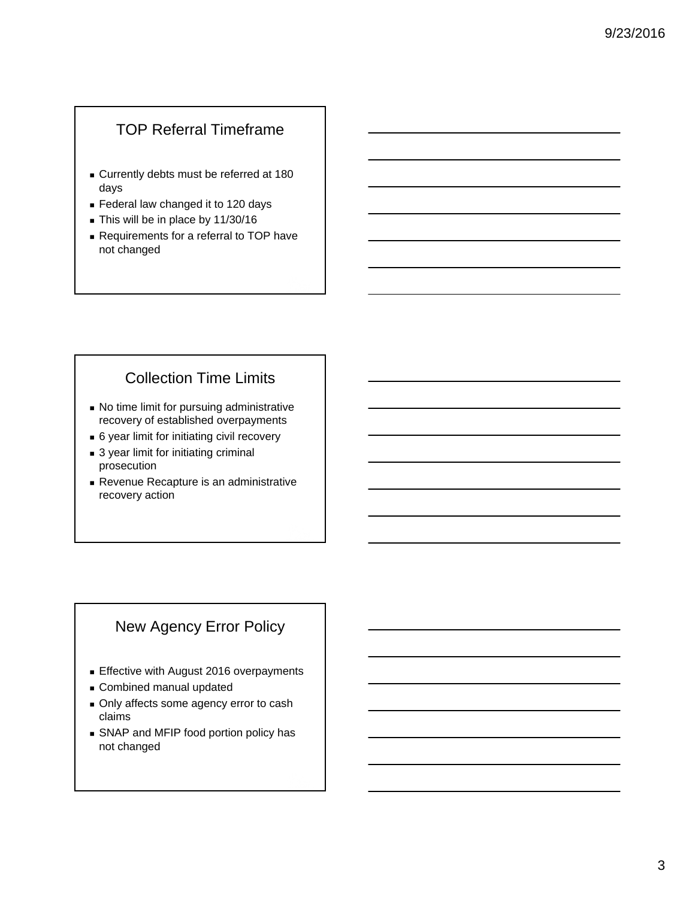# TOP Referral Timeframe

- Currently debts must be referred at 180 days
- **Federal law changed it to 120 days**
- This will be in place by 11/30/16
- **Requirements for a referral to TOP have** not changed

# Collection Time Limits

- No time limit for pursuing administrative recovery of established overpayments
- 6 year limit for initiating civil recovery
- 3 year limit for initiating criminal prosecution
- Revenue Recapture is an administrative recovery action

# New Agency Error Policy

- **Effective with August 2016 overpayments**
- Combined manual updated
- Only affects some agency error to cash claims
- **SNAP and MFIP food portion policy has** not changed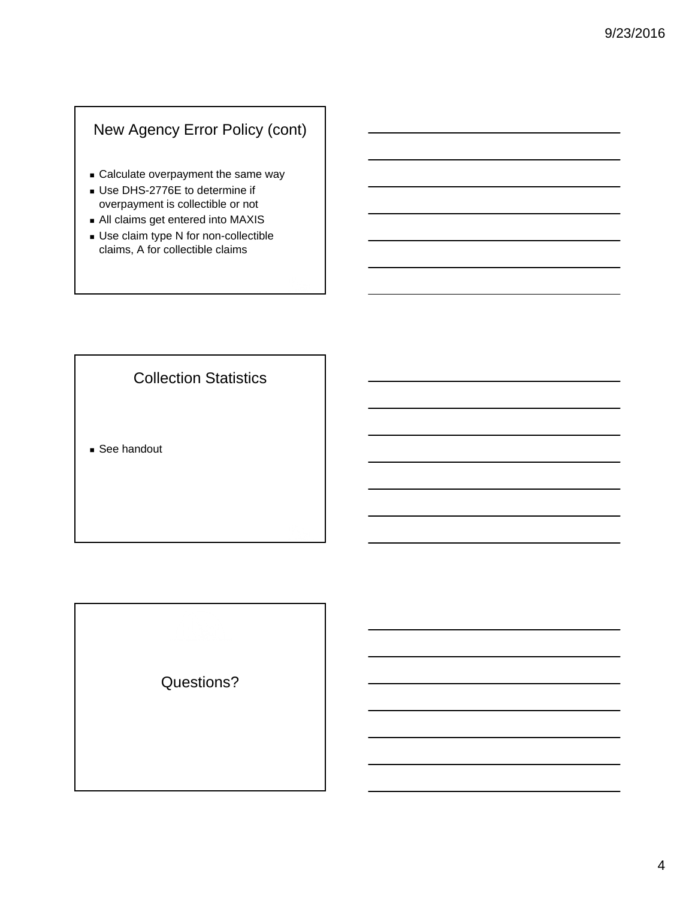# New Agency Error Policy (cont)

- Calculate overpayment the same way
- Use DHS-2776E to determine if overpayment is collectible or not
- All claims get entered into MAXIS
- Use claim type N for non-collectible claims, A for collectible claims

Collection Statistics

■ See handout

Questions?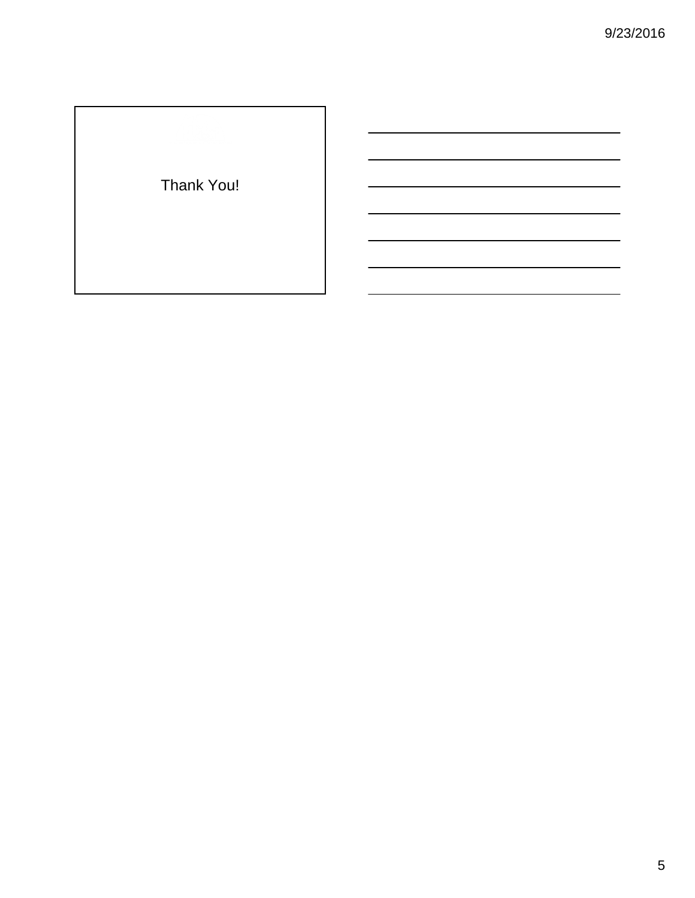# Thank You!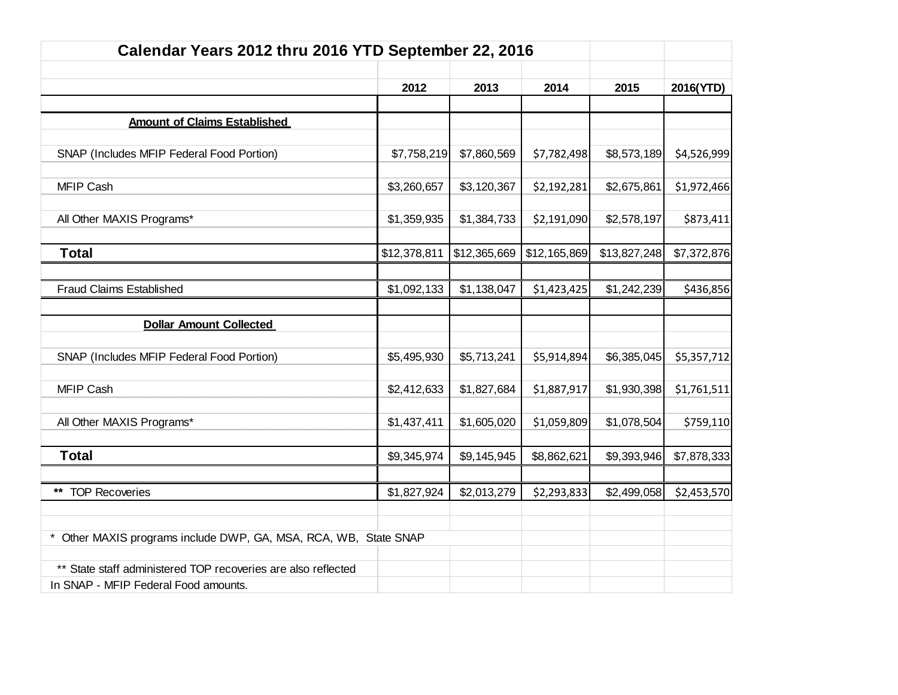| Calendar Years 2012 thru 2016 YTD September 22, 2016             |              |              |              |              |             |
|------------------------------------------------------------------|--------------|--------------|--------------|--------------|-------------|
|                                                                  |              |              |              |              |             |
|                                                                  | 2012         | 2013         | 2014         | 2015         | 2016(YTD)   |
|                                                                  |              |              |              |              |             |
| <b>Amount of Claims Established</b>                              |              |              |              |              |             |
| SNAP (Includes MFIP Federal Food Portion)                        | \$7,758,219  | \$7,860,569  | \$7,782,498  | \$8,573,189  | \$4,526,999 |
|                                                                  |              |              |              |              |             |
| <b>MFIP Cash</b>                                                 | \$3,260,657  | \$3,120,367  | \$2,192,281  | \$2,675,861  | \$1,972,466 |
|                                                                  |              |              |              |              |             |
| All Other MAXIS Programs*                                        | \$1,359,935  | \$1,384,733  | \$2,191,090  | \$2,578,197  | \$873,411   |
|                                                                  |              |              |              |              |             |
| <b>Total</b>                                                     | \$12,378,811 | \$12,365,669 | \$12,165,869 | \$13,827,248 | \$7,372,876 |
|                                                                  |              |              |              |              |             |
| <b>Fraud Claims Established</b>                                  | \$1,092,133  | \$1,138,047  | \$1,423,425  | \$1,242,239  | \$436,856   |
|                                                                  |              |              |              |              |             |
| <b>Dollar Amount Collected</b>                                   |              |              |              |              |             |
| SNAP (Includes MFIP Federal Food Portion)                        | \$5,495,930  | \$5,713,241  | \$5,914,894  | \$6,385,045  | \$5,357,712 |
|                                                                  |              |              |              |              |             |
| <b>MFIP Cash</b>                                                 | \$2,412,633  | \$1,827,684  | \$1,887,917  | \$1,930,398  | \$1,761,511 |
|                                                                  |              |              |              |              |             |
| All Other MAXIS Programs*                                        | \$1,437,411  | \$1,605,020  | \$1,059,809  | \$1,078,504  | \$759,110   |
|                                                                  |              |              |              |              |             |
| <b>Total</b>                                                     | \$9,345,974  | \$9,145,945  | \$8,862,621  | \$9,393,946  | \$7,878,333 |
|                                                                  |              |              |              |              |             |
| ** TOP Recoveries                                                | \$1,827,924  | \$2,013,279  | \$2,293,833  | \$2,499,058  | \$2,453,570 |
|                                                                  |              |              |              |              |             |
| * Other MAXIS programs include DWP, GA, MSA, RCA, WB, State SNAP |              |              |              |              |             |
|                                                                  |              |              |              |              |             |
| ** State staff administered TOP recoveries are also reflected    |              |              |              |              |             |
| In SNAP - MFIP Federal Food amounts.                             |              |              |              |              |             |